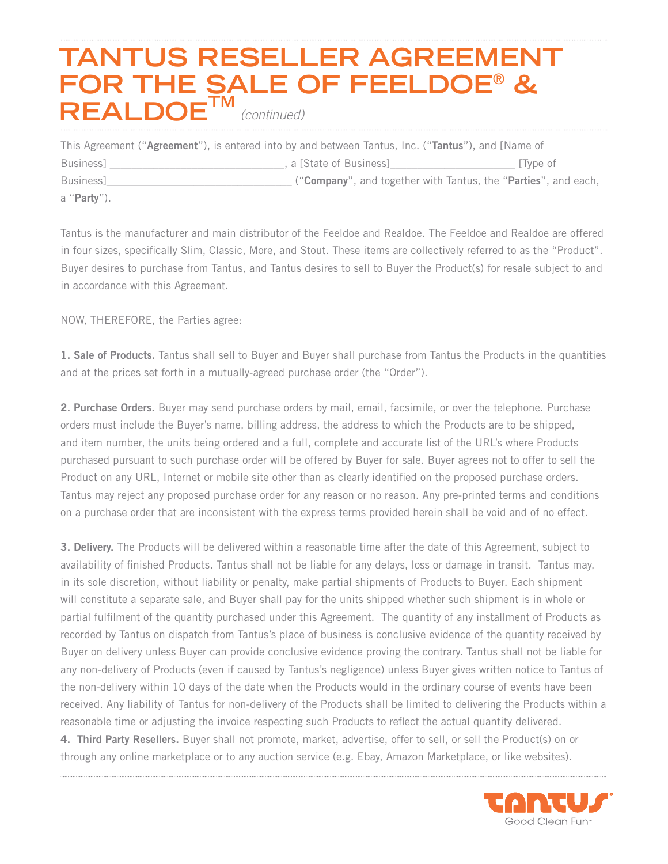# **TANTUS RESELLER AGREEMENT FOR THE SALE OF FEELDOE**® **& REALDOETM**  *(continued)*

| This Agreement ("Agreement"), is entered into by and between Tantus, Inc. ("Tantus"), and [Name of |                         |                                                                |
|----------------------------------------------------------------------------------------------------|-------------------------|----------------------------------------------------------------|
| <b>Business</b>                                                                                    | , a [State of Business] | Type of                                                        |
| <b>Business</b>                                                                                    |                         | ("Company", and together with Tantus, the "Parties", and each, |
| a " <b>Party</b> ").                                                                               |                         |                                                                |

Tantus is the manufacturer and main distributor of the Feeldoe and Realdoe. The Feeldoe and Realdoe are offered in four sizes, specifically Slim, Classic, More, and Stout. These items are collectively referred to as the "Product". Buyer desires to purchase from Tantus, and Tantus desires to sell to Buyer the Product(s) for resale subject to and in accordance with this Agreement.

NOW, THEREFORE, the Parties agree:

1. Sale of Products. Tantus shall sell to Buyer and Buyer shall purchase from Tantus the Products in the quantities and at the prices set forth in a mutually-agreed purchase order (the "Order").

2. Purchase Orders. Buyer may send purchase orders by mail, email, facsimile, or over the telephone. Purchase orders must include the Buyer's name, billing address, the address to which the Products are to be shipped, and item number, the units being ordered and a full, complete and accurate list of the URL's where Products purchased pursuant to such purchase order will be offered by Buyer for sale. Buyer agrees not to offer to sell the Product on any URL, Internet or mobile site other than as clearly identified on the proposed purchase orders. Tantus may reject any proposed purchase order for any reason or no reason. Any pre-printed terms and conditions on a purchase order that are inconsistent with the express terms provided herein shall be void and of no effect.

3. Delivery. The Products will be delivered within a reasonable time after the date of this Agreement, subject to availability of finished Products. Tantus shall not be liable for any delays, loss or damage in transit. Tantus may, in its sole discretion, without liability or penalty, make partial shipments of Products to Buyer. Each shipment will constitute a separate sale, and Buyer shall pay for the units shipped whether such shipment is in whole or partial fulfilment of the quantity purchased under this Agreement. The quantity of any installment of Products as recorded by Tantus on dispatch from Tantus's place of business is conclusive evidence of the quantity received by Buyer on delivery unless Buyer can provide conclusive evidence proving the contrary. Tantus shall not be liable for any non-delivery of Products (even if caused by Tantus's negligence) unless Buyer gives written notice to Tantus of the non-delivery within 10 days of the date when the Products would in the ordinary course of events have been received. Any liability of Tantus for non-delivery of the Products shall be limited to delivering the Products within a reasonable time or adjusting the invoice respecting such Products to reflect the actual quantity delivered.

4. Third Party Resellers. Buyer shall not promote, market, advertise, offer to sell, or sell the Product(s) on or through any online marketplace or to any auction service (e.g. Ebay, Amazon Marketplace, or like websites).

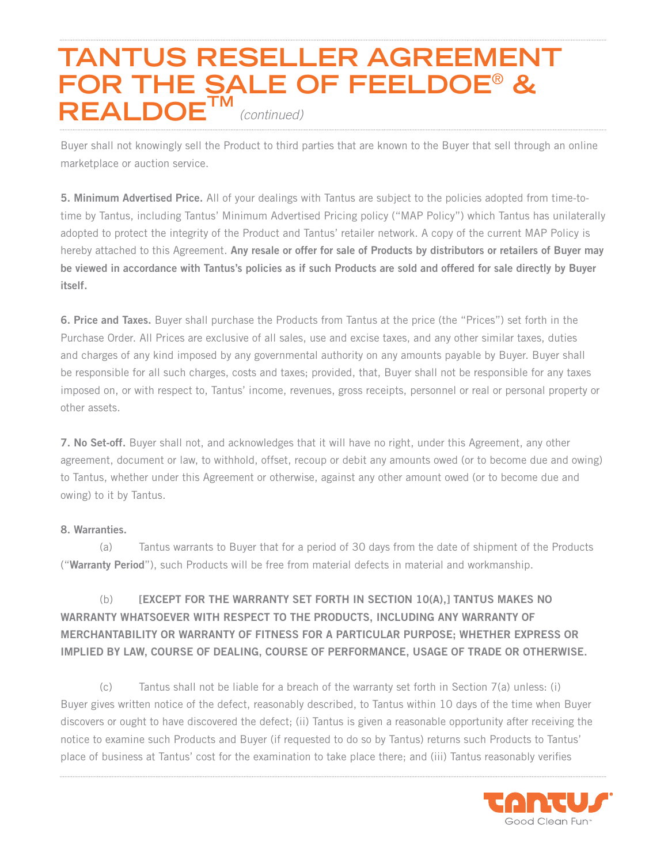## **TANTUS RESELLER AGREEMENT FOR THE SALE OF FEELDOE**® **& REALDOE** *(continued)*

Buyer shall not knowingly sell the Product to third parties that are known to the Buyer that sell through an online marketplace or auction service.

5. Minimum Advertised Price. All of your dealings with Tantus are subject to the policies adopted from time-totime by Tantus, including Tantus' Minimum Advertised Pricing policy ("MAP Policy") which Tantus has unilaterally adopted to protect the integrity of the Product and Tantus' retailer network. A copy of the current MAP Policy is hereby attached to this Agreement. Any resale or offer for sale of Products by distributors or retailers of Buyer may be viewed in accordance with Tantus's policies as if such Products are sold and offered for sale directly by Buyer itself.

6. Price and Taxes. Buyer shall purchase the Products from Tantus at the price (the "Prices") set forth in the Purchase Order. All Prices are exclusive of all sales, use and excise taxes, and any other similar taxes, duties and charges of any kind imposed by any governmental authority on any amounts payable by Buyer. Buyer shall be responsible for all such charges, costs and taxes; provided, that, Buyer shall not be responsible for any taxes imposed on, or with respect to, Tantus' income, revenues, gross receipts, personnel or real or personal property or other assets.

7. No Set-off. Buyer shall not, and acknowledges that it will have no right, under this Agreement, any other agreement, document or law, to withhold, offset, recoup or debit any amounts owed (or to become due and owing) to Tantus, whether under this Agreement or otherwise, against any other amount owed (or to become due and owing) to it by Tantus.

#### 8. Warranties.

(a) Tantus warrants to Buyer that for a period of 30 days from the date of shipment of the Products ("Warranty Period"), such Products will be free from material defects in material and workmanship.

### (b) [EXCEPT FOR THE WARRANTY SET FORTH IN SECTION 10(A),] TANTUS MAKES NO WARRANTY WHATSOEVER WITH RESPECT TO THE PRODUCTS, INCLUDING ANY WARRANTY OF MERCHANTABILITY OR WARRANTY OF FITNESS FOR A PARTICULAR PURPOSE; WHETHER EXPRESS OR IMPLIED BY LAW, COURSE OF DEALING, COURSE OF PERFORMANCE, USAGE OF TRADE OR OTHERWISE.

(c) Tantus shall not be liable for a breach of the warranty set forth in Section 7(a) unless: (i) Buyer gives written notice of the defect, reasonably described, to Tantus within 10 days of the time when Buyer discovers or ought to have discovered the defect; (ii) Tantus is given a reasonable opportunity after receiving the notice to examine such Products and Buyer (if requested to do so by Tantus) returns such Products to Tantus' place of business at Tantus' cost for the examination to take place there; and (iii) Tantus reasonably verifies

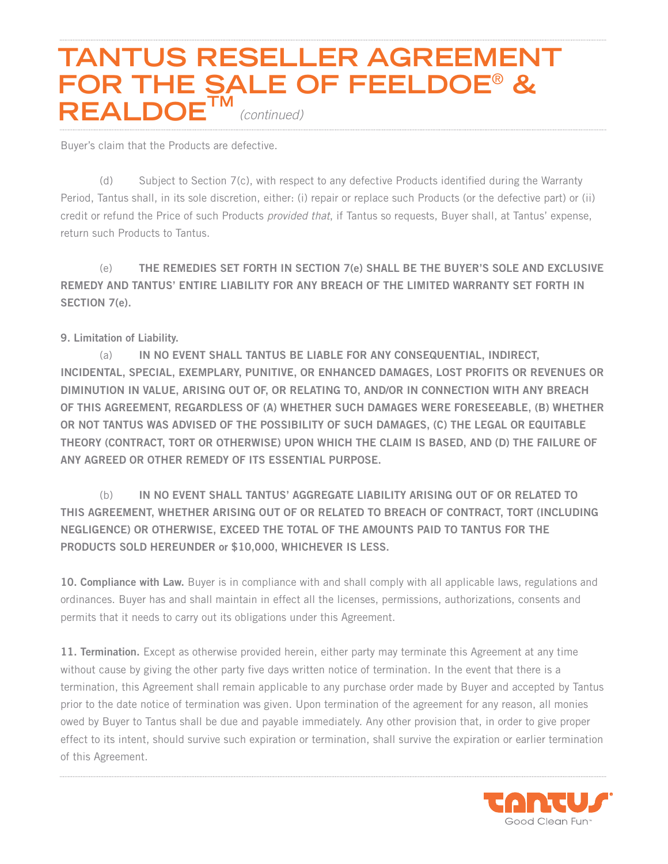## **TANTUS RESELLER AGREEMENT FOR THE SALE OF FEELDOE**® **& REALDOE** *(continued)*

Buyer's claim that the Products are defective.

(d) Subject to Section 7(c), with respect to any defective Products identified during the Warranty Period, Tantus shall, in its sole discretion, either: (i) repair or replace such Products (or the defective part) or (ii) credit or refund the Price of such Products *provided that*, if Tantus so requests, Buyer shall, at Tantus' expense, return such Products to Tantus.

(e) THE REMEDIES SET FORTH IN SECTION 7(e) SHALL BE THE BUYER'S SOLE AND EXCLUSIVE REMEDY AND TANTUS' ENTIRE LIABILITY FOR ANY BREACH OF THE LIMITED WARRANTY SET FORTH IN SECTION 7(e).

### 9. Limitation of Liability.

(a) IN NO EVENT SHALL TANTUS BE LIABLE FOR ANY CONSEQUENTIAL, INDIRECT, INCIDENTAL, SPECIAL, EXEMPLARY, PUNITIVE, OR ENHANCED DAMAGES, LOST PROFITS OR REVENUES OR DIMINUTION IN VALUE, ARISING OUT OF, OR RELATING TO, AND/OR IN CONNECTION WITH ANY BREACH OF THIS AGREEMENT, REGARDLESS OF (A) WHETHER SUCH DAMAGES WERE FORESEEABLE, (B) WHETHER OR NOT TANTUS WAS ADVISED OF THE POSSIBILITY OF SUCH DAMAGES, (C) THE LEGAL OR EQUITABLE THEORY (CONTRACT, TORT OR OTHERWISE) UPON WHICH THE CLAIM IS BASED, AND (D) THE FAILURE OF ANY AGREED OR OTHER REMEDY OF ITS ESSENTIAL PURPOSE.

(b) IN NO EVENT SHALL TANTUS' AGGREGATE LIABILITY ARISING OUT OF OR RELATED TO THIS AGREEMENT, WHETHER ARISING OUT OF OR RELATED TO BREACH OF CONTRACT, TORT (INCLUDING NEGLIGENCE) OR OTHERWISE, EXCEED THE TOTAL OF THE AMOUNTS PAID TO TANTUS FOR THE PRODUCTS SOLD HEREUNDER or \$10,000, WHICHEVER IS LESS.

10. Compliance with Law. Buyer is in compliance with and shall comply with all applicable laws, regulations and ordinances. Buyer has and shall maintain in effect all the licenses, permissions, authorizations, consents and permits that it needs to carry out its obligations under this Agreement.

11. Termination. Except as otherwise provided herein, either party may terminate this Agreement at any time without cause by giving the other party five days written notice of termination. In the event that there is a termination, this Agreement shall remain applicable to any purchase order made by Buyer and accepted by Tantus prior to the date notice of termination was given. Upon termination of the agreement for any reason, all monies owed by Buyer to Tantus shall be due and payable immediately. Any other provision that, in order to give proper effect to its intent, should survive such expiration or termination, shall survive the expiration or earlier termination of this Agreement.